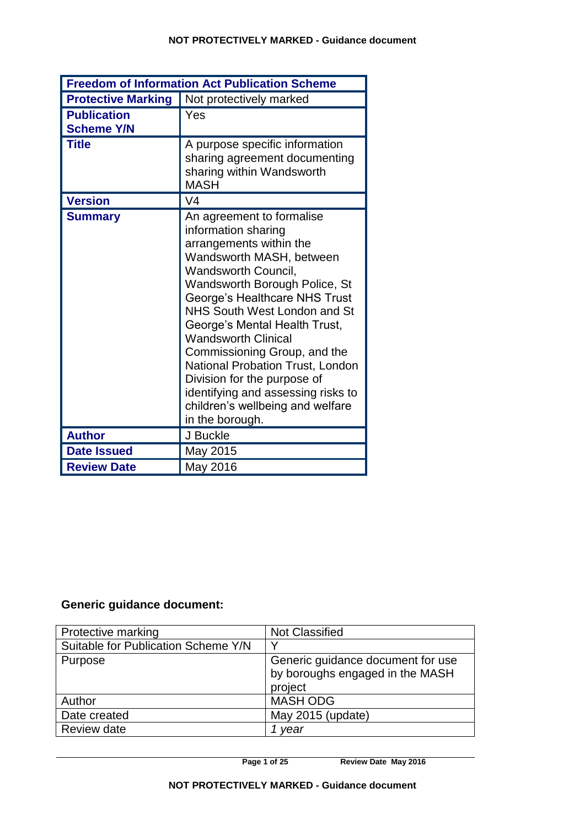| <b>Freedom of Information Act Publication Scheme</b> |                                                                                                                                                                                                                                                                                                                                                                                                                                                                                                        |  |
|------------------------------------------------------|--------------------------------------------------------------------------------------------------------------------------------------------------------------------------------------------------------------------------------------------------------------------------------------------------------------------------------------------------------------------------------------------------------------------------------------------------------------------------------------------------------|--|
| <b>Protective Marking</b>                            | Not protectively marked                                                                                                                                                                                                                                                                                                                                                                                                                                                                                |  |
| <b>Publication</b><br><b>Scheme Y/N</b>              | Yes                                                                                                                                                                                                                                                                                                                                                                                                                                                                                                    |  |
| <b>Title</b>                                         | A purpose specific information<br>sharing agreement documenting<br>sharing within Wandsworth<br><b>MASH</b>                                                                                                                                                                                                                                                                                                                                                                                            |  |
| <b>Version</b>                                       | V <sub>4</sub>                                                                                                                                                                                                                                                                                                                                                                                                                                                                                         |  |
| <b>Summary</b>                                       | An agreement to formalise<br>information sharing<br>arrangements within the<br>Wandsworth MASH, between<br><b>Wandsworth Council,</b><br>Wandsworth Borough Police, St<br>George's Healthcare NHS Trust<br>NHS South West London and St<br>George's Mental Health Trust,<br><b>Wandsworth Clinical</b><br>Commissioning Group, and the<br>National Probation Trust, London<br>Division for the purpose of<br>identifying and assessing risks to<br>children's wellbeing and welfare<br>in the borough. |  |
| <b>Author</b>                                        | J Buckle                                                                                                                                                                                                                                                                                                                                                                                                                                                                                               |  |
| <b>Date Issued</b>                                   | May 2015                                                                                                                                                                                                                                                                                                                                                                                                                                                                                               |  |
| <b>Review Date</b>                                   | May 2016                                                                                                                                                                                                                                                                                                                                                                                                                                                                                               |  |

# **Generic guidance document:**

| Protective marking                  | <b>Not Classified</b>                                                           |
|-------------------------------------|---------------------------------------------------------------------------------|
| Suitable for Publication Scheme Y/N |                                                                                 |
| Purpose                             | Generic guidance document for use<br>by boroughs engaged in the MASH<br>project |
| Author                              | <b>MASH ODG</b>                                                                 |
| Date created                        | May 2015 (update)                                                               |
| Review date                         | year                                                                            |

**Page 1 of 25 Review Date May 2016**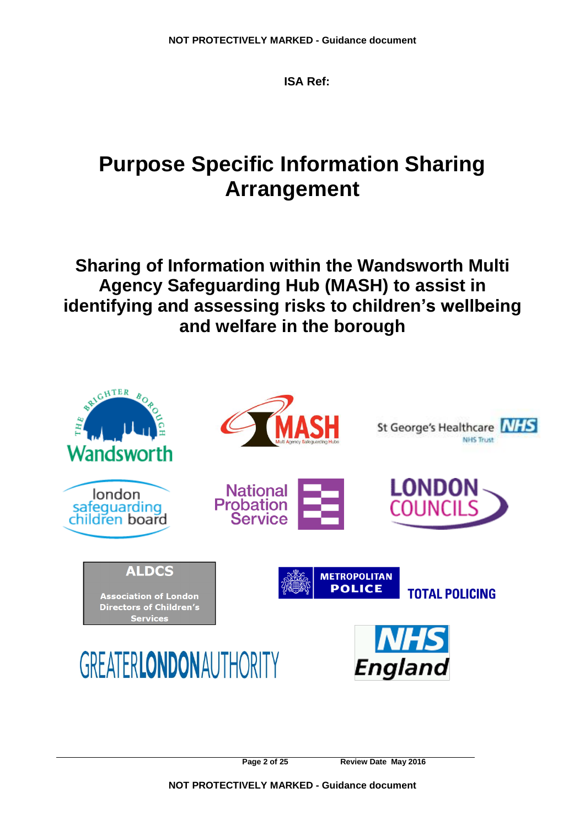**ISA Ref:** 

# **Purpose Specific Information Sharing Arrangement**

**Sharing of Information within the Wandsworth Multi Agency Safeguarding Hub (MASH) to assist in identifying and assessing risks to children's wellbeing and welfare in the borough**



**Page 2 of 25 Review Date May 2016**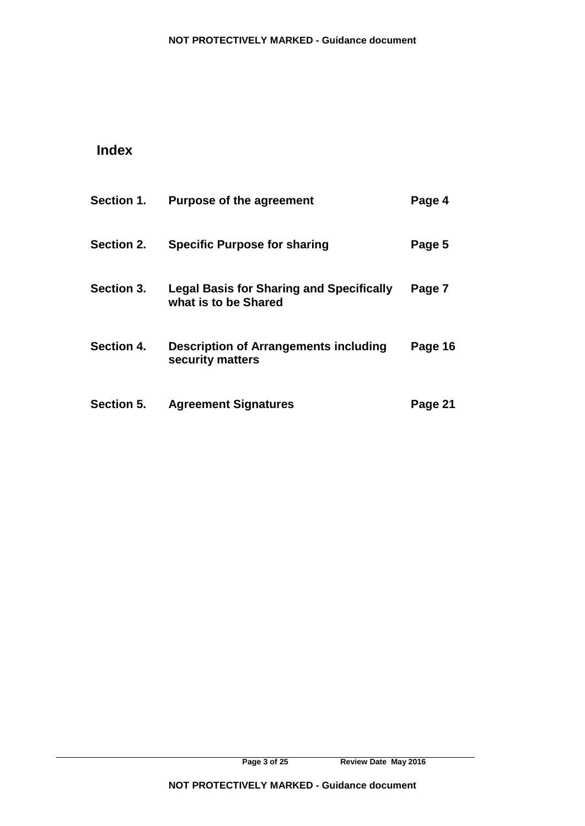# **Index**

| Section 1. | <b>Purpose of the agreement</b>                                         | Page 4  |
|------------|-------------------------------------------------------------------------|---------|
| Section 2. | <b>Specific Purpose for sharing</b>                                     | Page 5  |
| Section 3. | <b>Legal Basis for Sharing and Specifically</b><br>what is to be Shared | Page 7  |
| Section 4. | <b>Description of Arrangements including</b><br>security matters        | Page 16 |
| Section 5. | <b>Agreement Signatures</b>                                             | Page 21 |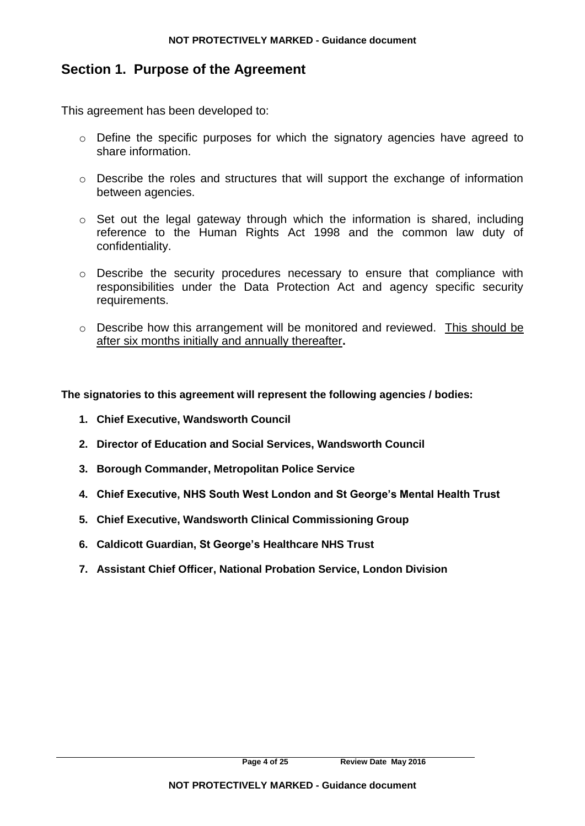# **Section 1. Purpose of the Agreement**

This agreement has been developed to:

- o Define the specific purposes for which the signatory agencies have agreed to share information.
- o Describe the roles and structures that will support the exchange of information between agencies.
- o Set out the legal gateway through which the information is shared, including reference to the Human Rights Act 1998 and the common law duty of confidentiality.
- o Describe the security procedures necessary to ensure that compliance with responsibilities under the Data Protection Act and agency specific security requirements.
- o Describe how this arrangement will be monitored and reviewed. This should be after six months initially and annually thereafter**.**

**The signatories to this agreement will represent the following agencies / bodies:**

- **1. Chief Executive, Wandsworth Council**
- **2. Director of Education and Social Services, Wandsworth Council**
- **3. Borough Commander, Metropolitan Police Service**
- **4. Chief Executive, NHS South West London and St George's Mental Health Trust**
- **5. Chief Executive, Wandsworth Clinical Commissioning Group**
- **6. Caldicott Guardian, St George's Healthcare NHS Trust**
- **7. Assistant Chief Officer, National Probation Service, London Division**

**Page 4 of 25 Review Date May 2016**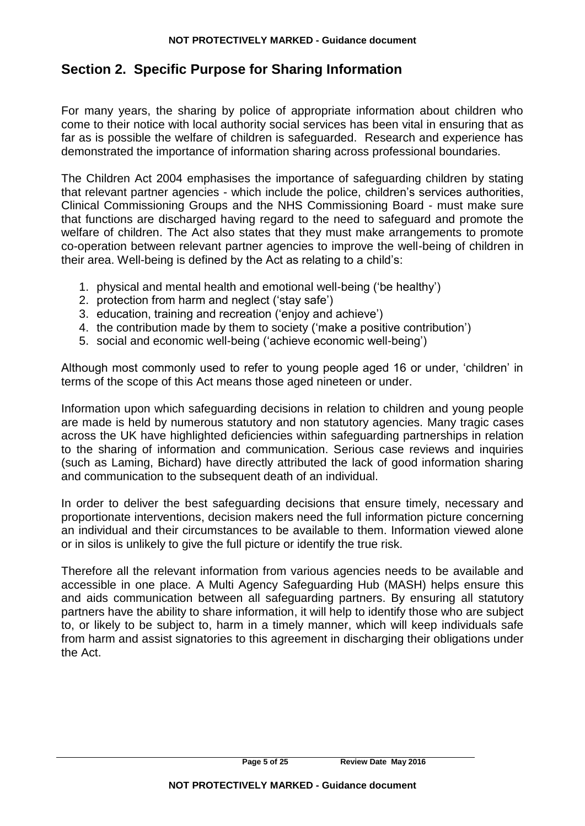# **Section 2. Specific Purpose for Sharing Information**

For many years, the sharing by police of appropriate information about children who come to their notice with local authority social services has been vital in ensuring that as far as is possible the welfare of children is safeguarded. Research and experience has demonstrated the importance of information sharing across professional boundaries.

The Children Act 2004 emphasises the importance of safeguarding children by stating that relevant partner agencies - which include the police, children's services authorities, Clinical Commissioning Groups and the NHS Commissioning Board - must make sure that functions are discharged having regard to the need to safeguard and promote the welfare of children. The Act also states that they must make arrangements to promote co-operation between relevant partner agencies to improve the well-being of children in their area. Well-being is defined by the Act as relating to a child's:

- 1. physical and mental health and emotional well-being ('be healthy')
- 2. protection from harm and neglect ('stay safe')
- 3. education, training and recreation ('enjoy and achieve')
- 4. the contribution made by them to society ('make a positive contribution')
- 5. social and economic well-being ('achieve economic well-being')

Although most commonly used to refer to young people aged 16 or under, 'children' in terms of the scope of this Act means those aged nineteen or under.

Information upon which safeguarding decisions in relation to children and young people are made is held by numerous statutory and non statutory agencies. Many tragic cases across the UK have highlighted deficiencies within safeguarding partnerships in relation to the sharing of information and communication. Serious case reviews and inquiries (such as Laming, Bichard) have directly attributed the lack of good information sharing and communication to the subsequent death of an individual.

In order to deliver the best safeguarding decisions that ensure timely, necessary and proportionate interventions, decision makers need the full information picture concerning an individual and their circumstances to be available to them. Information viewed alone or in silos is unlikely to give the full picture or identify the true risk.

Therefore all the relevant information from various agencies needs to be available and accessible in one place. A Multi Agency Safeguarding Hub (MASH) helps ensure this and aids communication between all safeguarding partners. By ensuring all statutory partners have the ability to share information, it will help to identify those who are subject to, or likely to be subject to, harm in a timely manner, which will keep individuals safe from harm and assist signatories to this agreement in discharging their obligations under the Act.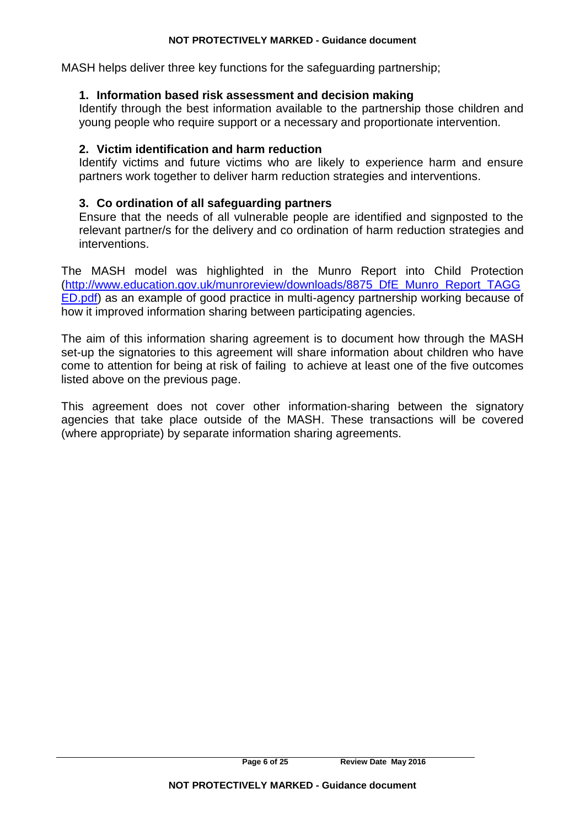MASH helps deliver three key functions for the safeguarding partnership;

### **1. Information based risk assessment and decision making**

Identify through the best information available to the partnership those children and young people who require support or a necessary and proportionate intervention.

### **2. Victim identification and harm reduction**

Identify victims and future victims who are likely to experience harm and ensure partners work together to deliver harm reduction strategies and interventions.

### **3. Co ordination of all safeguarding partners**

Ensure that the needs of all vulnerable people are identified and signposted to the relevant partner/s for the delivery and co ordination of harm reduction strategies and interventions.

The MASH model was highlighted in the Munro Report into Child Protection [\(http://www.education.gov.uk/munroreview/downloads/8875\\_DfE\\_Munro\\_Report\\_TAGG](http://www.education.gov.uk/munroreview/downloads/8875_DfE_Munro_Report_TAGGED.pdf) [ED.pdf\)](http://www.education.gov.uk/munroreview/downloads/8875_DfE_Munro_Report_TAGGED.pdf) as an example of good practice in multi-agency partnership working because of how it improved information sharing between participating agencies.

The aim of this information sharing agreement is to document how through the MASH set-up the signatories to this agreement will share information about children who have come to attention for being at risk of failing to achieve at least one of the five outcomes listed above on the previous page.

This agreement does not cover other information-sharing between the signatory agencies that take place outside of the MASH. These transactions will be covered (where appropriate) by separate information sharing agreements.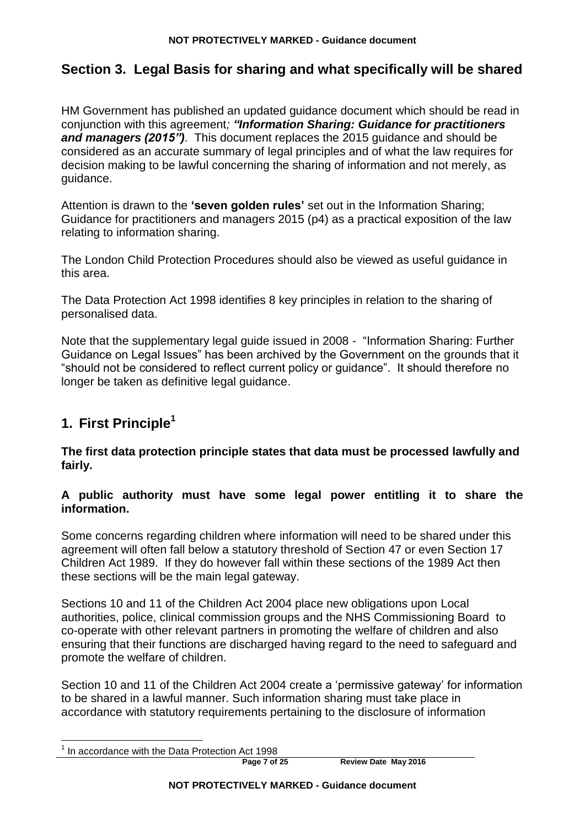# **Section 3. Legal Basis for sharing and what specifically will be shared**

HM Government has published an updated guidance document which should be read in conjunction with this agreement*; "Information Sharing: Guidance for practitioners and managers (2015")*. This document replaces the 2015 guidance and should be considered as an accurate summary of legal principles and of what the law requires for decision making to be lawful concerning the sharing of information and not merely, as guidance.

Attention is drawn to the **'seven golden rules'** set out in the Information Sharing; Guidance for practitioners and managers 2015 (p4) as a practical exposition of the law relating to information sharing.

The London Child Protection Procedures should also be viewed as useful guidance in this area.

The Data Protection Act 1998 identifies 8 key principles in relation to the sharing of personalised data.

Note that the supplementary legal guide issued in 2008 - "Information Sharing: Further Guidance on Legal Issues" has been archived by the Government on the grounds that it "should not be considered to reflect current policy or guidance". It should therefore no longer be taken as definitive legal guidance.

# **1. First Principle<sup>1</sup>**

**The first data protection principle states that data must be processed lawfully and fairly.** 

### **A public authority must have some legal power entitling it to share the information.**

Some concerns regarding children where information will need to be shared under this agreement will often fall below a statutory threshold of Section 47 or even Section 17 Children Act 1989. If they do however fall within these sections of the 1989 Act then these sections will be the main legal gateway.

Sections 10 and 11 of the Children Act 2004 place new obligations upon Local authorities, police, clinical commission groups and the NHS Commissioning Board to co-operate with other relevant partners in promoting the welfare of children and also ensuring that their functions are discharged having regard to the need to safeguard and promote the welfare of children.

Section 10 and 11 of the Children Act 2004 create a 'permissive gateway' for information to be shared in a lawful manner. Such information sharing must take place in accordance with statutory requirements pertaining to the disclosure of information

**Page 7 of 25 Review Date May 2016**

 $<sup>1</sup>$  In accordance with the Data Protection Act 1998</sup>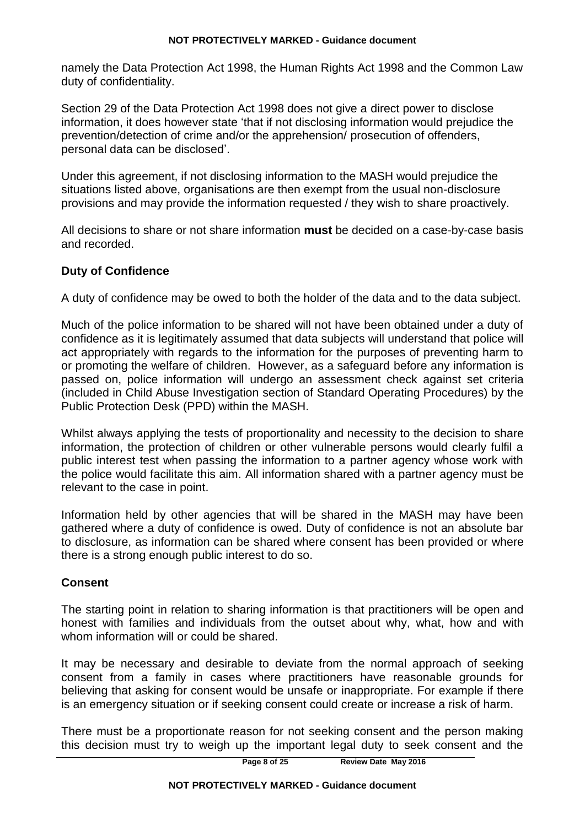namely the Data Protection Act 1998, the Human Rights Act 1998 and the Common Law duty of confidentiality.

Section 29 of the Data Protection Act 1998 does not give a direct power to disclose information, it does however state 'that if not disclosing information would prejudice the prevention/detection of crime and/or the apprehension/ prosecution of offenders, personal data can be disclosed'.

Under this agreement, if not disclosing information to the MASH would prejudice the situations listed above, organisations are then exempt from the usual non-disclosure provisions and may provide the information requested / they wish to share proactively.

All decisions to share or not share information **must** be decided on a case-by-case basis and recorded.

### **Duty of Confidence**

A duty of confidence may be owed to both the holder of the data and to the data subject.

Much of the police information to be shared will not have been obtained under a duty of confidence as it is legitimately assumed that data subjects will understand that police will act appropriately with regards to the information for the purposes of preventing harm to or promoting the welfare of children. However, as a safeguard before any information is passed on, police information will undergo an assessment check against set criteria (included in Child Abuse Investigation section of Standard Operating Procedures) by the Public Protection Desk (PPD) within the MASH.

Whilst always applying the tests of proportionality and necessity to the decision to share information, the protection of children or other vulnerable persons would clearly fulfil a public interest test when passing the information to a partner agency whose work with the police would facilitate this aim. All information shared with a partner agency must be relevant to the case in point.

Information held by other agencies that will be shared in the MASH may have been gathered where a duty of confidence is owed. Duty of confidence is not an absolute bar to disclosure, as information can be shared where consent has been provided or where there is a strong enough public interest to do so.

### **Consent**

The starting point in relation to sharing information is that practitioners will be open and honest with families and individuals from the outset about why, what, how and with whom information will or could be shared.

It may be necessary and desirable to deviate from the normal approach of seeking consent from a family in cases where practitioners have reasonable grounds for believing that asking for consent would be unsafe or inappropriate. For example if there is an emergency situation or if seeking consent could create or increase a risk of harm.

There must be a proportionate reason for not seeking consent and the person making this decision must try to weigh up the important legal duty to seek consent and the

**Page 8 of 25 Review Date May 2016**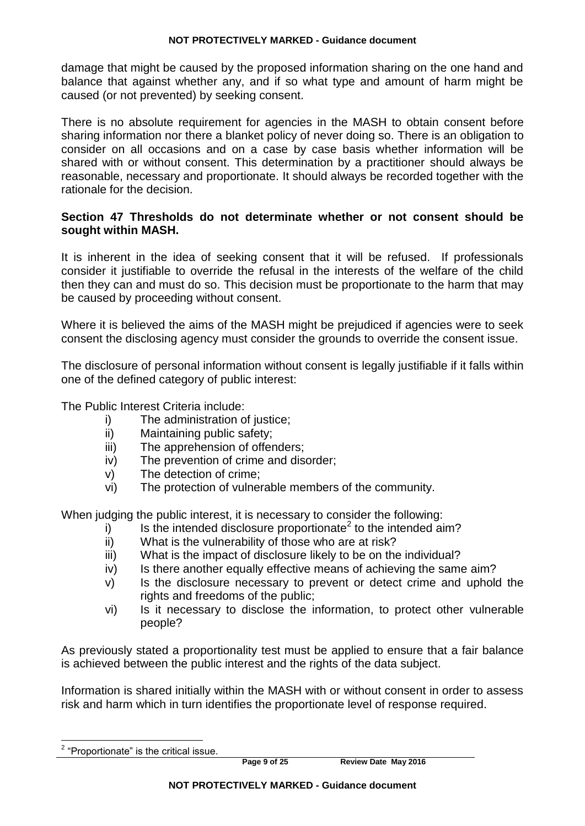damage that might be caused by the proposed information sharing on the one hand and balance that against whether any, and if so what type and amount of harm might be caused (or not prevented) by seeking consent.

There is no absolute requirement for agencies in the MASH to obtain consent before sharing information nor there a blanket policy of never doing so. There is an obligation to consider on all occasions and on a case by case basis whether information will be shared with or without consent. This determination by a practitioner should always be reasonable, necessary and proportionate. It should always be recorded together with the rationale for the decision.

### **Section 47 Thresholds do not determinate whether or not consent should be sought within MASH.**

It is inherent in the idea of seeking consent that it will be refused. If professionals consider it justifiable to override the refusal in the interests of the welfare of the child then they can and must do so. This decision must be proportionate to the harm that may be caused by proceeding without consent.

Where it is believed the aims of the MASH might be prejudiced if agencies were to seek consent the disclosing agency must consider the grounds to override the consent issue.

The disclosure of personal information without consent is legally justifiable if it falls within one of the defined category of public interest:

The Public Interest Criteria include:

- i) The administration of justice:
- ii) Maintaining public safety;
- iii) The apprehension of offenders;
- iv) The prevention of crime and disorder;
- v) The detection of crime;
- vi) The protection of vulnerable members of the community.

When judging the public interest, it is necessary to consider the following:

- $i)$  Is the intended disclosure proportionate<sup>2</sup> to the intended aim?
- ii) What is the vulnerability of those who are at risk?
- iii) What is the impact of disclosure likely to be on the individual?
- iv) Is there another equally effective means of achieving the same aim?
- v) Is the disclosure necessary to prevent or detect crime and uphold the rights and freedoms of the public;
- vi) Is it necessary to disclose the information, to protect other vulnerable people?

As previously stated a proportionality test must be applied to ensure that a fair balance is achieved between the public interest and the rights of the data subject.

Information is shared initially within the MASH with or without consent in order to assess risk and harm which in turn identifies the proportionate level of response required.

**Page 9 of 25 Review Date May 2016**

 2 "Proportionate" is the critical issue.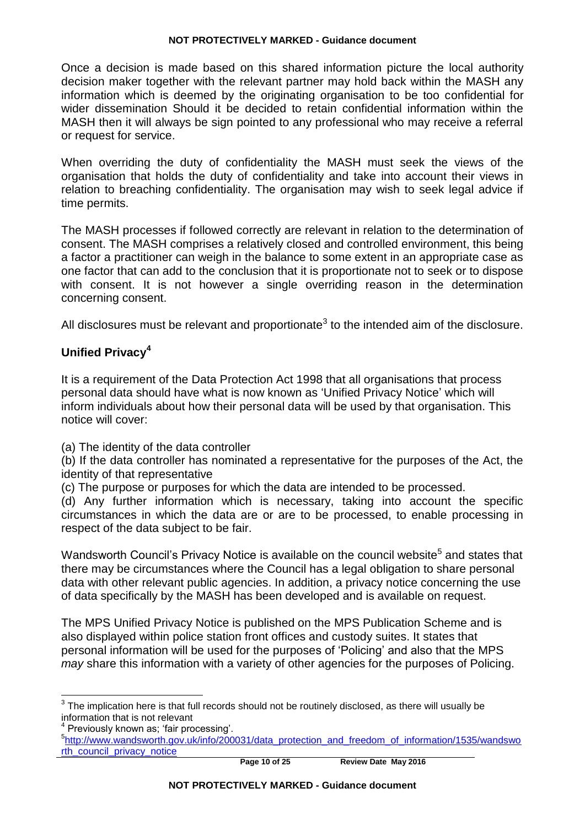Once a decision is made based on this shared information picture the local authority decision maker together with the relevant partner may hold back within the MASH any information which is deemed by the originating organisation to be too confidential for wider dissemination Should it be decided to retain confidential information within the MASH then it will always be sign pointed to any professional who may receive a referral or request for service.

When overriding the duty of confidentiality the MASH must seek the views of the organisation that holds the duty of confidentiality and take into account their views in relation to breaching confidentiality. The organisation may wish to seek legal advice if time permits.

The MASH processes if followed correctly are relevant in relation to the determination of consent. The MASH comprises a relatively closed and controlled environment, this being a factor a practitioner can weigh in the balance to some extent in an appropriate case as one factor that can add to the conclusion that it is proportionate not to seek or to dispose with consent. It is not however a single overriding reason in the determination concerning consent.

All disclosures must be relevant and proportionate<sup>3</sup> to the intended aim of the disclosure.

### **Unified Privacy<sup>4</sup>**

It is a requirement of the Data Protection Act 1998 that all organisations that process personal data should have what is now known as 'Unified Privacy Notice' which will inform individuals about how their personal data will be used by that organisation. This notice will cover:

(a) The identity of the data controller

(b) If the data controller has nominated a representative for the purposes of the Act, the identity of that representative

(c) The purpose or purposes for which the data are intended to be processed.

(d) Any further information which is necessary, taking into account the specific circumstances in which the data are or are to be processed, to enable processing in respect of the data subject to be fair.

Wandsworth Council's Privacy Notice is available on the council website<sup>5</sup> and states that there may be circumstances where the Council has a legal obligation to share personal data with other relevant public agencies. In addition, a privacy notice concerning the use of data specifically by the MASH has been developed and is available on request.

The MPS Unified Privacy Notice is published on the MPS Publication Scheme and is also displayed within police station front offices and custody suites. It states that personal information will be used for the purposes of 'Policing' and also that the MPS *may* share this information with a variety of other agencies for the purposes of Policing.

 $3$  The implication here is that full records should not be routinely disclosed, as there will usually be information that is not relevant

<sup>&</sup>lt;sup>4</sup> Previously known as; 'fair processing'.

<sup>&</sup>lt;sup>5</sup>[http://www.wandsworth.gov.uk/info/200031/data\\_protection\\_and\\_freedom\\_of\\_information/1535/wandswo](http://www.wandsworth.gov.uk/info/200031/data_protection_and_freedom_of_information/1535/wandsworth_council_privacy_notice) [rth\\_council\\_privacy\\_notice](http://www.wandsworth.gov.uk/info/200031/data_protection_and_freedom_of_information/1535/wandsworth_council_privacy_notice)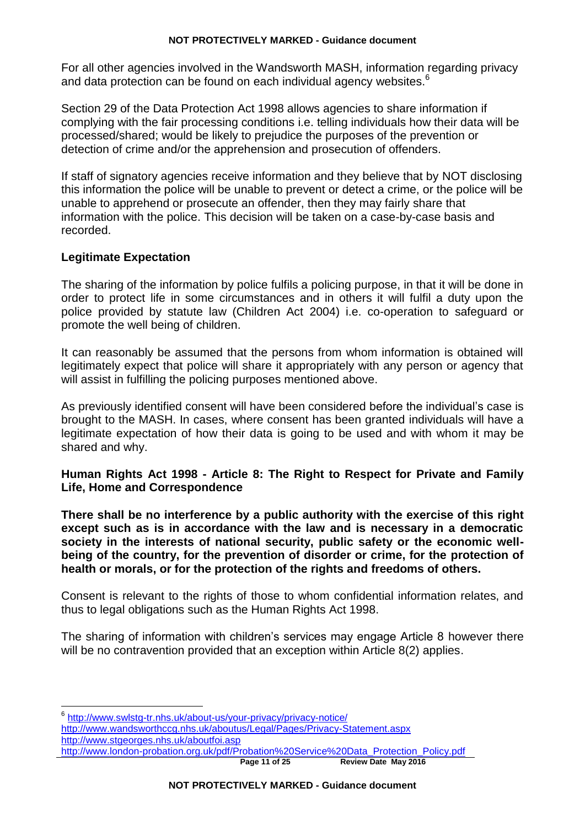For all other agencies involved in the Wandsworth MASH, information regarding privacy and data protection can be found on each individual agency websites.<sup>6</sup>

Section 29 of the Data Protection Act 1998 allows agencies to share information if complying with the fair processing conditions i.e. telling individuals how their data will be processed/shared; would be likely to prejudice the purposes of the prevention or detection of crime and/or the apprehension and prosecution of offenders.

If staff of signatory agencies receive information and they believe that by NOT disclosing this information the police will be unable to prevent or detect a crime, or the police will be unable to apprehend or prosecute an offender, then they may fairly share that information with the police. This decision will be taken on a case-by-case basis and recorded.

### **Legitimate Expectation**

The sharing of the information by police fulfils a policing purpose, in that it will be done in order to protect life in some circumstances and in others it will fulfil a duty upon the police provided by statute law (Children Act 2004) i.e. co-operation to safeguard or promote the well being of children.

It can reasonably be assumed that the persons from whom information is obtained will legitimately expect that police will share it appropriately with any person or agency that will assist in fulfilling the policing purposes mentioned above.

As previously identified consent will have been considered before the individual's case is brought to the MASH. In cases, where consent has been granted individuals will have a legitimate expectation of how their data is going to be used and with whom it may be shared and why.

### **Human Rights Act 1998 - Article 8: The Right to Respect for Private and Family Life, Home and Correspondence**

**There shall be no interference by a public authority with the exercise of this right except such as is in accordance with the law and is necessary in a democratic society in the interests of national security, public safety or the economic wellbeing of the country, for the prevention of disorder or crime, for the protection of health or morals, or for the protection of the rights and freedoms of others.** 

Consent is relevant to the rights of those to whom confidential information relates, and thus to legal obligations such as the Human Rights Act 1998.

The sharing of information with children's services may engage Article 8 however there will be no contravention provided that an exception within Article 8(2) applies.

 <sup>6</sup> <http://www.swlstg-tr.nhs.uk/about-us/your-privacy/privacy-notice/>

<http://www.wandsworthccg.nhs.uk/aboutus/Legal/Pages/Privacy-Statement.aspx> <http://www.stgeorges.nhs.uk/aboutfoi.asp>

**Page 11 of 25 Review Date May 2016** [http://www.london-probation.org.uk/pdf/Probation%20Service%20Data\\_Protection\\_Policy.pdf](http://www.london-probation.org.uk/pdf/Probation%20Service%20Data_Protection_Policy.pdf)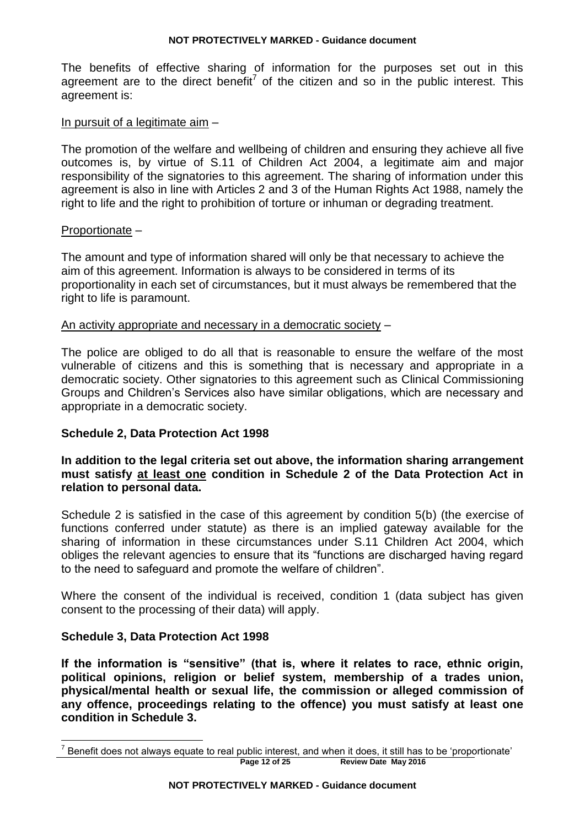The benefits of effective sharing of information for the purposes set out in this agreement are to the direct benefit<sup>7</sup> of the citizen and so in the public interest. This agreement is:

### In pursuit of a legitimate aim –

The promotion of the welfare and wellbeing of children and ensuring they achieve all five outcomes is, by virtue of S.11 of Children Act 2004, a legitimate aim and major responsibility of the signatories to this agreement. The sharing of information under this agreement is also in line with Articles 2 and 3 of the Human Rights Act 1988, namely the right to life and the right to prohibition of torture or inhuman or degrading treatment.

### Proportionate –

The amount and type of information shared will only be that necessary to achieve the aim of this agreement. Information is always to be considered in terms of its proportionality in each set of circumstances, but it must always be remembered that the right to life is paramount.

### An activity appropriate and necessary in a democratic society –

The police are obliged to do all that is reasonable to ensure the welfare of the most vulnerable of citizens and this is something that is necessary and appropriate in a democratic society. Other signatories to this agreement such as Clinical Commissioning Groups and Children's Services also have similar obligations, which are necessary and appropriate in a democratic society.

### **Schedule 2, Data Protection Act 1998**

### **In addition to the legal criteria set out above, the information sharing arrangement must satisfy at least one condition in Schedule 2 of the Data Protection Act in relation to personal data.**

Schedule 2 is satisfied in the case of this agreement by condition 5(b) (the exercise of functions conferred under statute) as there is an implied gateway available for the sharing of information in these circumstances under S.11 Children Act 2004, which obliges the relevant agencies to ensure that its "functions are discharged having regard to the need to safeguard and promote the welfare of children".

Where the consent of the individual is received, condition 1 (data subject has given consent to the processing of their data) will apply.

### **Schedule 3, Data Protection Act 1998**

**If the information is "sensitive" (that is, where it relates to race, ethnic origin, political opinions, religion or belief system, membership of a trades union, physical/mental health or sexual life, the commission or alleged commission of any offence, proceedings relating to the offence) you must satisfy at least one condition in Schedule 3.** 

**Page 12 of 25 Review Date May 2016**  $^7$  Benefit does not always equate to real public interest, and when it does, it still has to be 'proportionate'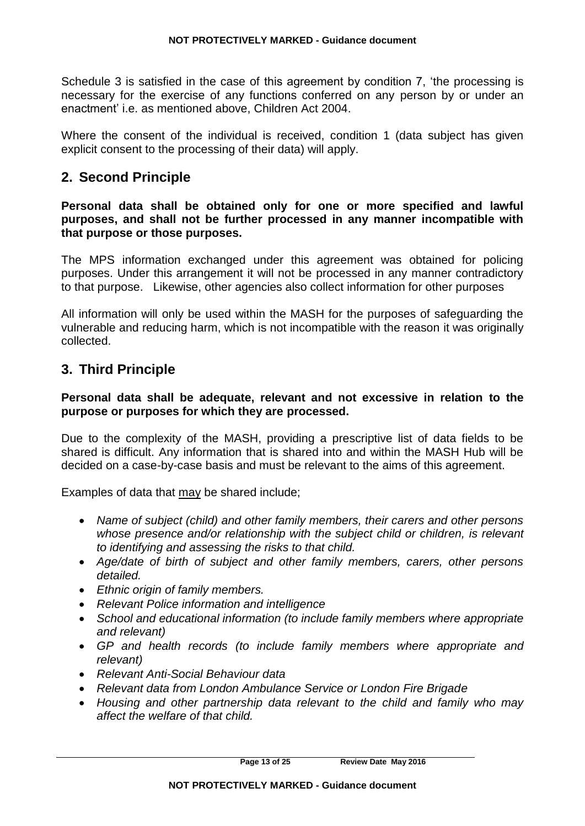Schedule 3 is satisfied in the case of this agreement by condition 7, 'the processing is necessary for the exercise of any functions conferred on any person by or under an enactment' i.e. as mentioned above, Children Act 2004.

Where the consent of the individual is received, condition 1 (data subject has given explicit consent to the processing of their data) will apply.

# **2. Second Principle**

**Personal data shall be obtained only for one or more specified and lawful purposes, and shall not be further processed in any manner incompatible with that purpose or those purposes.** 

The MPS information exchanged under this agreement was obtained for policing purposes. Under this arrangement it will not be processed in any manner contradictory to that purpose. Likewise, other agencies also collect information for other purposes

All information will only be used within the MASH for the purposes of safeguarding the vulnerable and reducing harm, which is not incompatible with the reason it was originally collected.

# **3. Third Principle**

### **Personal data shall be adequate, relevant and not excessive in relation to the purpose or purposes for which they are processed.**

Due to the complexity of the MASH, providing a prescriptive list of data fields to be shared is difficult. Any information that is shared into and within the MASH Hub will be decided on a case-by-case basis and must be relevant to the aims of this agreement.

Examples of data that may be shared include;

- *Name of subject (child) and other family members, their carers and other persons whose presence and/or relationship with the subject child or children, is relevant to identifying and assessing the risks to that child.*
- *Age/date of birth of subject and other family members, carers, other persons detailed.*
- *Ethnic origin of family members.*
- *Relevant Police information and intelligence*
- *School and educational information (to include family members where appropriate and relevant)*
- *GP and health records (to include family members where appropriate and relevant)*
- *Relevant Anti-Social Behaviour data*
- *Relevant data from London Ambulance Service or London Fire Brigade*
- *Housing and other partnership data relevant to the child and family who may affect the welfare of that child.*

**Page 13 of 25 Review Date May 2016**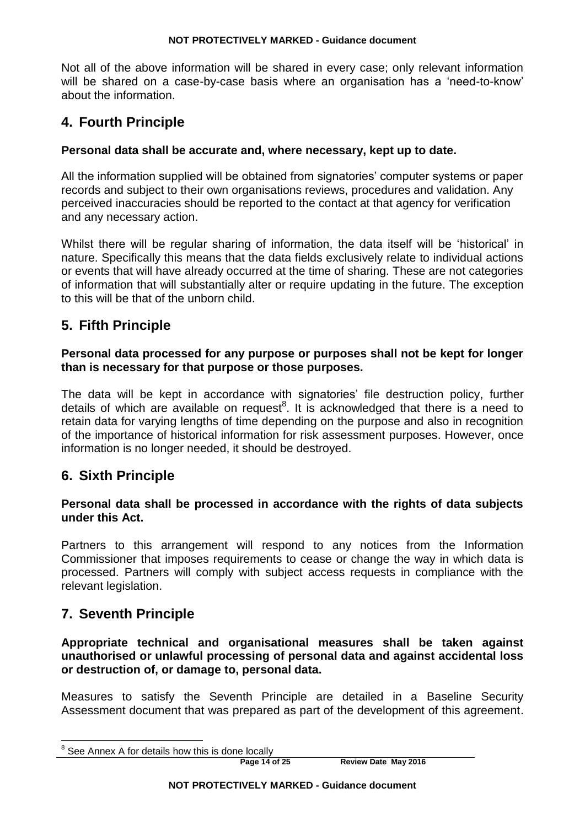Not all of the above information will be shared in every case; only relevant information will be shared on a case-by-case basis where an organisation has a 'need-to-know' about the information.

# **4. Fourth Principle**

### **Personal data shall be accurate and, where necessary, kept up to date.**

All the information supplied will be obtained from signatories' computer systems or paper records and subject to their own organisations reviews, procedures and validation. Any perceived inaccuracies should be reported to the contact at that agency for verification and any necessary action.

Whilst there will be regular sharing of information, the data itself will be 'historical' in nature. Specifically this means that the data fields exclusively relate to individual actions or events that will have already occurred at the time of sharing. These are not categories of information that will substantially alter or require updating in the future. The exception to this will be that of the unborn child.

# **5. Fifth Principle**

### **Personal data processed for any purpose or purposes shall not be kept for longer than is necessary for that purpose or those purposes.**

The data will be kept in accordance with signatories' file destruction policy, further details of which are available on request<sup>8</sup>. It is acknowledged that there is a need to retain data for varying lengths of time depending on the purpose and also in recognition of the importance of historical information for risk assessment purposes. However, once information is no longer needed, it should be destroyed.

# **6. Sixth Principle**

### **Personal data shall be processed in accordance with the rights of data subjects under this Act.**

Partners to this arrangement will respond to any notices from the Information Commissioner that imposes requirements to cease or change the way in which data is processed. Partners will comply with subject access requests in compliance with the relevant legislation.

# **7. Seventh Principle**

**Appropriate technical and organisational measures shall be taken against unauthorised or unlawful processing of personal data and against accidental loss or destruction of, or damage to, personal data.**

Measures to satisfy the Seventh Principle are detailed in a Baseline Security Assessment document that was prepared as part of the development of this agreement.

**Page 14 of 25 Review Date May 2016**

 $8$  See Annex A for details how this is done locally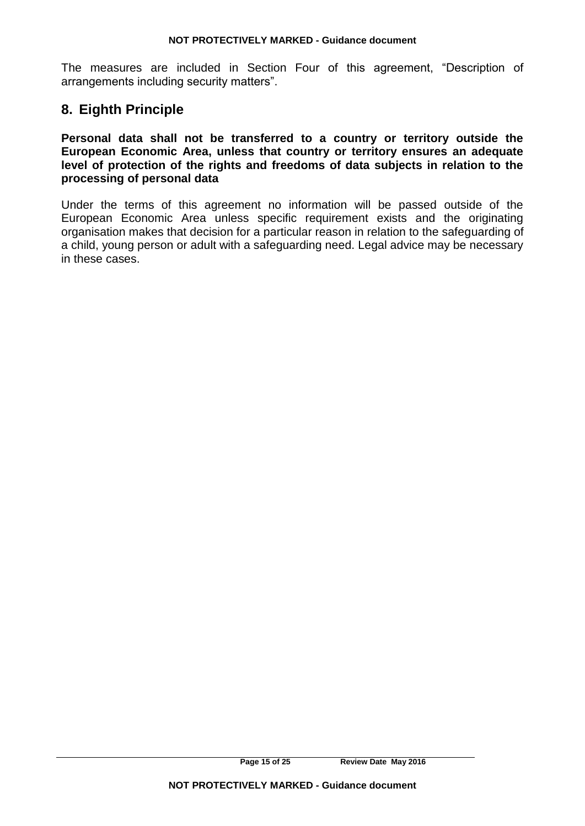The measures are included in Section Four of this agreement, "Description of arrangements including security matters".

# **8. Eighth Principle**

**Personal data shall not be transferred to a country or territory outside the European Economic Area, unless that country or territory ensures an adequate level of protection of the rights and freedoms of data subjects in relation to the processing of personal data**

Under the terms of this agreement no information will be passed outside of the European Economic Area unless specific requirement exists and the originating organisation makes that decision for a particular reason in relation to the safeguarding of a child, young person or adult with a safeguarding need. Legal advice may be necessary in these cases.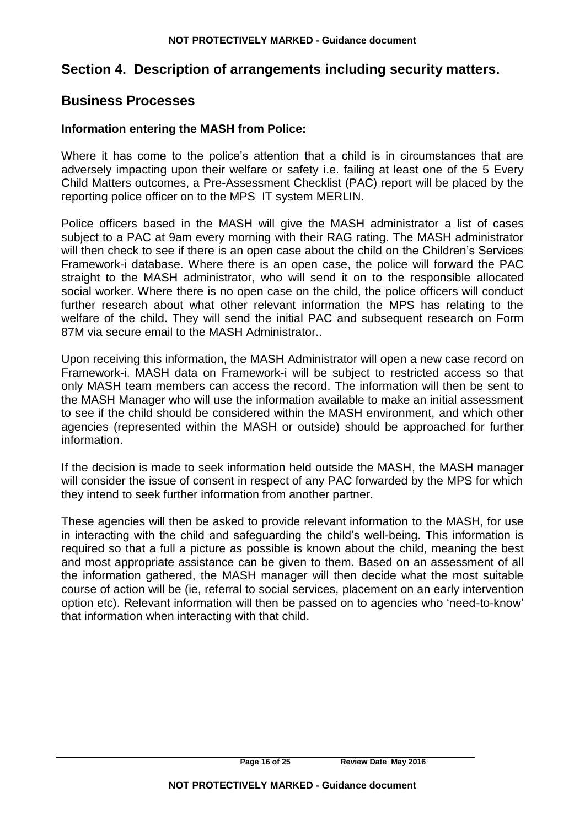# **Section 4. Description of arrangements including security matters.**

# **Business Processes**

### **Information entering the MASH from Police:**

Where it has come to the police's attention that a child is in circumstances that are adversely impacting upon their welfare or safety i.e. failing at least one of the 5 Every Child Matters outcomes, a Pre-Assessment Checklist (PAC) report will be placed by the reporting police officer on to the MPS IT system MERLIN.

Police officers based in the MASH will give the MASH administrator a list of cases subject to a PAC at 9am every morning with their RAG rating. The MASH administrator will then check to see if there is an open case about the child on the Children's Services Framework-i database. Where there is an open case, the police will forward the PAC straight to the MASH administrator, who will send it on to the responsible allocated social worker. Where there is no open case on the child, the police officers will conduct further research about what other relevant information the MPS has relating to the welfare of the child. They will send the initial PAC and subsequent research on Form 87M via secure email to the MASH Administrator..

Upon receiving this information, the MASH Administrator will open a new case record on Framework-i. MASH data on Framework-i will be subject to restricted access so that only MASH team members can access the record. The information will then be sent to the MASH Manager who will use the information available to make an initial assessment to see if the child should be considered within the MASH environment, and which other agencies (represented within the MASH or outside) should be approached for further information.

If the decision is made to seek information held outside the MASH, the MASH manager will consider the issue of consent in respect of any PAC forwarded by the MPS for which they intend to seek further information from another partner.

These agencies will then be asked to provide relevant information to the MASH, for use in interacting with the child and safeguarding the child's well-being. This information is required so that a full a picture as possible is known about the child, meaning the best and most appropriate assistance can be given to them. Based on an assessment of all the information gathered, the MASH manager will then decide what the most suitable course of action will be (ie, referral to social services, placement on an early intervention option etc). Relevant information will then be passed on to agencies who 'need-to-know' that information when interacting with that child.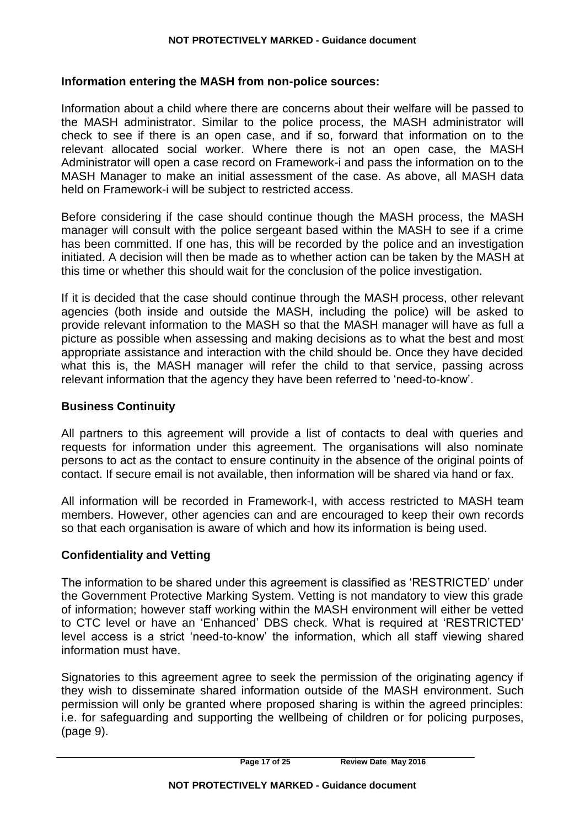### **Information entering the MASH from non-police sources:**

Information about a child where there are concerns about their welfare will be passed to the MASH administrator. Similar to the police process, the MASH administrator will check to see if there is an open case, and if so, forward that information on to the relevant allocated social worker. Where there is not an open case, the MASH Administrator will open a case record on Framework-i and pass the information on to the MASH Manager to make an initial assessment of the case. As above, all MASH data held on Framework-i will be subject to restricted access.

Before considering if the case should continue though the MASH process, the MASH manager will consult with the police sergeant based within the MASH to see if a crime has been committed. If one has, this will be recorded by the police and an investigation initiated. A decision will then be made as to whether action can be taken by the MASH at this time or whether this should wait for the conclusion of the police investigation.

If it is decided that the case should continue through the MASH process, other relevant agencies (both inside and outside the MASH, including the police) will be asked to provide relevant information to the MASH so that the MASH manager will have as full a picture as possible when assessing and making decisions as to what the best and most appropriate assistance and interaction with the child should be. Once they have decided what this is, the MASH manager will refer the child to that service, passing across relevant information that the agency they have been referred to 'need-to-know'.

### **Business Continuity**

All partners to this agreement will provide a list of contacts to deal with queries and requests for information under this agreement. The organisations will also nominate persons to act as the contact to ensure continuity in the absence of the original points of contact. If secure email is not available, then information will be shared via hand or fax.

All information will be recorded in Framework-I, with access restricted to MASH team members. However, other agencies can and are encouraged to keep their own records so that each organisation is aware of which and how its information is being used.

### **Confidentiality and Vetting**

The information to be shared under this agreement is classified as 'RESTRICTED' under the Government Protective Marking System. Vetting is not mandatory to view this grade of information; however staff working within the MASH environment will either be vetted to CTC level or have an 'Enhanced' DBS check. What is required at 'RESTRICTED' level access is a strict 'need-to-know' the information, which all staff viewing shared information must have.

Signatories to this agreement agree to seek the permission of the originating agency if they wish to disseminate shared information outside of the MASH environment. Such permission will only be granted where proposed sharing is within the agreed principles: i.e. for safeguarding and supporting the wellbeing of children or for policing purposes, (page 9).

**Page 17 of 25 Review Date May 2016**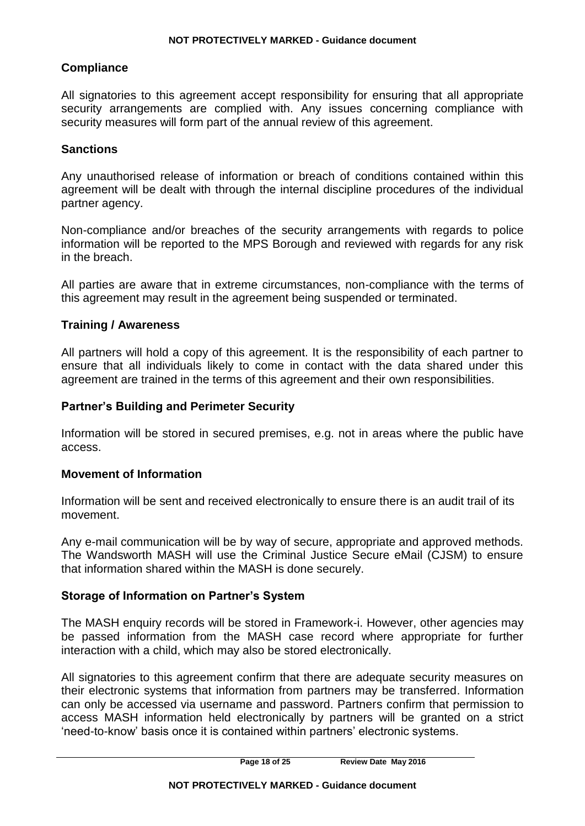### **Compliance**

All signatories to this agreement accept responsibility for ensuring that all appropriate security arrangements are complied with. Any issues concerning compliance with security measures will form part of the annual review of this agreement.

### **Sanctions**

Any unauthorised release of information or breach of conditions contained within this agreement will be dealt with through the internal discipline procedures of the individual partner agency.

Non-compliance and/or breaches of the security arrangements with regards to police information will be reported to the MPS Borough and reviewed with regards for any risk in the breach.

All parties are aware that in extreme circumstances, non-compliance with the terms of this agreement may result in the agreement being suspended or terminated.

### **Training / Awareness**

All partners will hold a copy of this agreement. It is the responsibility of each partner to ensure that all individuals likely to come in contact with the data shared under this agreement are trained in the terms of this agreement and their own responsibilities.

### **Partner's Building and Perimeter Security**

Information will be stored in secured premises, e.g. not in areas where the public have access.

### **Movement of Information**

Information will be sent and received electronically to ensure there is an audit trail of its movement.

Any e-mail communication will be by way of secure, appropriate and approved methods. The Wandsworth MASH will use the Criminal Justice Secure eMail (CJSM) to ensure that information shared within the MASH is done securely.

### **Storage of Information on Partner's System**

The MASH enquiry records will be stored in Framework-i. However, other agencies may be passed information from the MASH case record where appropriate for further interaction with a child, which may also be stored electronically.

All signatories to this agreement confirm that there are adequate security measures on their electronic systems that information from partners may be transferred. Information can only be accessed via username and password. Partners confirm that permission to access MASH information held electronically by partners will be granted on a strict 'need-to-know' basis once it is contained within partners' electronic systems.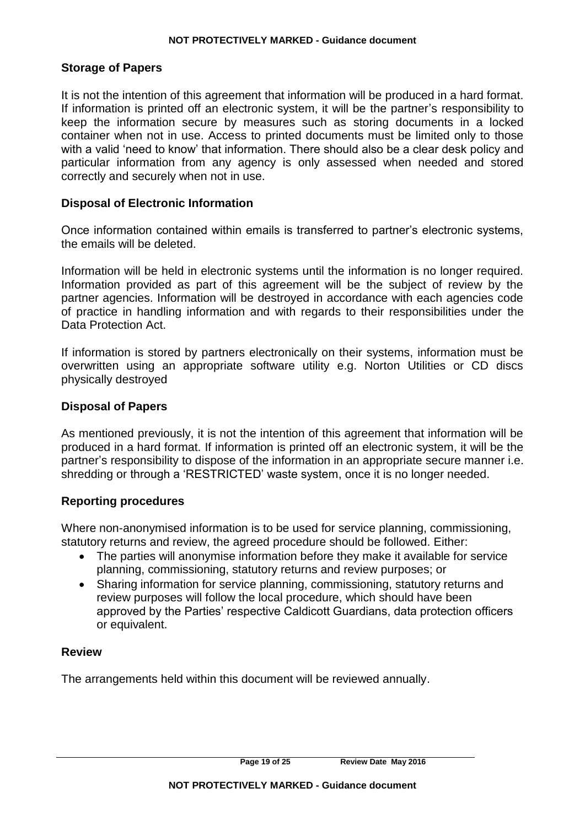### **Storage of Papers**

It is not the intention of this agreement that information will be produced in a hard format. If information is printed off an electronic system, it will be the partner's responsibility to keep the information secure by measures such as storing documents in a locked container when not in use. Access to printed documents must be limited only to those with a valid 'need to know' that information. There should also be a clear desk policy and particular information from any agency is only assessed when needed and stored correctly and securely when not in use.

### **Disposal of Electronic Information**

Once information contained within emails is transferred to partner's electronic systems, the emails will be deleted.

Information will be held in electronic systems until the information is no longer required. Information provided as part of this agreement will be the subject of review by the partner agencies. Information will be destroyed in accordance with each agencies code of practice in handling information and with regards to their responsibilities under the Data Protection Act.

If information is stored by partners electronically on their systems, information must be overwritten using an appropriate software utility e.g. Norton Utilities or CD discs physically destroyed

### **Disposal of Papers**

As mentioned previously, it is not the intention of this agreement that information will be produced in a hard format. If information is printed off an electronic system, it will be the partner's responsibility to dispose of the information in an appropriate secure manner i.e. shredding or through a 'RESTRICTED' waste system, once it is no longer needed.

### **Reporting procedures**

Where non-anonymised information is to be used for service planning, commissioning, statutory returns and review, the agreed procedure should be followed. Either:

- The parties will anonymise information before they make it available for service planning, commissioning, statutory returns and review purposes; or
- Sharing information for service planning, commissioning, statutory returns and review purposes will follow the local procedure, which should have been approved by the Parties' respective Caldicott Guardians, data protection officers or equivalent.

### **Review**

The arrangements held within this document will be reviewed annually.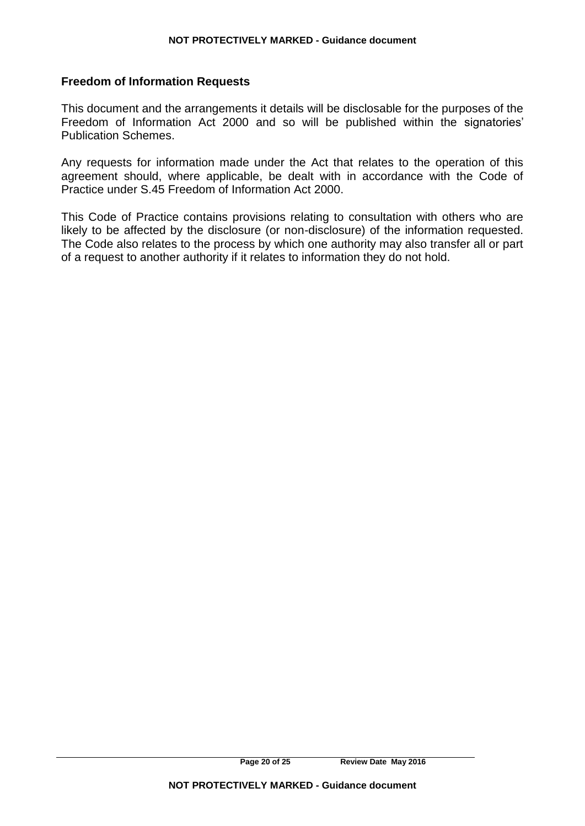### **Freedom of Information Requests**

This document and the arrangements it details will be disclosable for the purposes of the Freedom of Information Act 2000 and so will be published within the signatories' Publication Schemes.

Any requests for information made under the Act that relates to the operation of this agreement should, where applicable, be dealt with in accordance with the Code of Practice under S.45 Freedom of Information Act 2000.

This Code of Practice contains provisions relating to consultation with others who are likely to be affected by the disclosure (or non-disclosure) of the information requested. The Code also relates to the process by which one authority may also transfer all or part of a request to another authority if it relates to information they do not hold.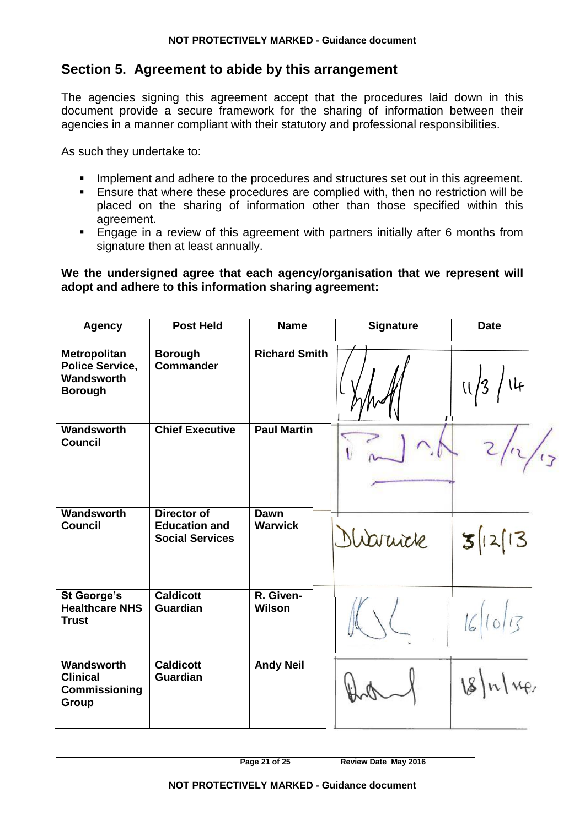# **Section 5. Agreement to abide by this arrangement**

The agencies signing this agreement accept that the procedures laid down in this document provide a secure framework for the sharing of information between their agencies in a manner compliant with their statutory and professional responsibilities.

As such they undertake to:

- Implement and adhere to the procedures and structures set out in this agreement.
- Ensure that where these procedures are complied with, then no restriction will be placed on the sharing of information other than those specified within this agreement.
- Engage in a review of this agreement with partners initially after 6 months from signature then at least annually.

### **We the undersigned agree that each agency/organisation that we represent will adopt and adhere to this information sharing agreement:**

| <b>Agency</b>                                                          | <b>Post Held</b>                                                     | <b>Name</b>                | <b>Signature</b> | <b>Date</b> |
|------------------------------------------------------------------------|----------------------------------------------------------------------|----------------------------|------------------|-------------|
| Metropolitan<br><b>Police Service,</b><br>Wandsworth<br><b>Borough</b> | <b>Borough</b><br><b>Commander</b>                                   | <b>Richard Smith</b>       | ו' ו             | U/3         |
| Wandsworth<br><b>Council</b>                                           | <b>Chief Executive</b>                                               | <b>Paul Martin</b>         |                  |             |
| Wandsworth<br><b>Council</b>                                           | <b>Director of</b><br><b>Education and</b><br><b>Social Services</b> | Dawn<br><b>Warwick</b>     | Nioruck          | 3 2 3       |
| <b>St George's</b><br><b>Healthcare NHS</b><br><b>Trust</b>            | <b>Caldicott</b><br><b>Guardian</b>                                  | R. Given-<br><b>Wilson</b> |                  | 16/10/13    |
| Wandsworth<br><b>Clinical</b><br>Commissioning<br>Group                | <b>Caldicott</b><br>Guardian                                         | <b>Andy Neil</b>           |                  | 8 n         |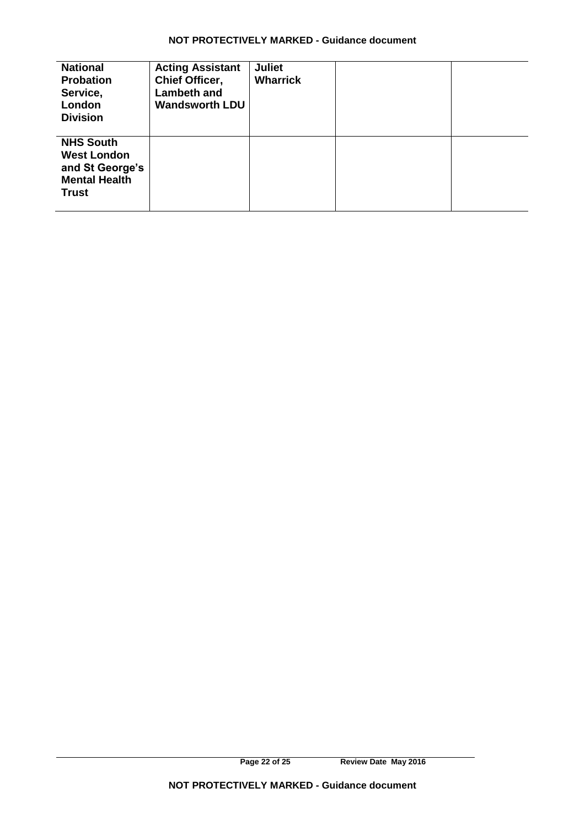| <b>National</b><br><b>Probation</b><br>Service,<br>London<br><b>Division</b>                      | <b>Acting Assistant</b><br><b>Chief Officer,</b><br><b>Lambeth and</b><br><b>Wandsworth LDU</b> | <b>Juliet</b><br><b>Wharrick</b> |  |
|---------------------------------------------------------------------------------------------------|-------------------------------------------------------------------------------------------------|----------------------------------|--|
| <b>NHS South</b><br><b>West London</b><br>and St George's<br><b>Mental Health</b><br><b>Trust</b> |                                                                                                 |                                  |  |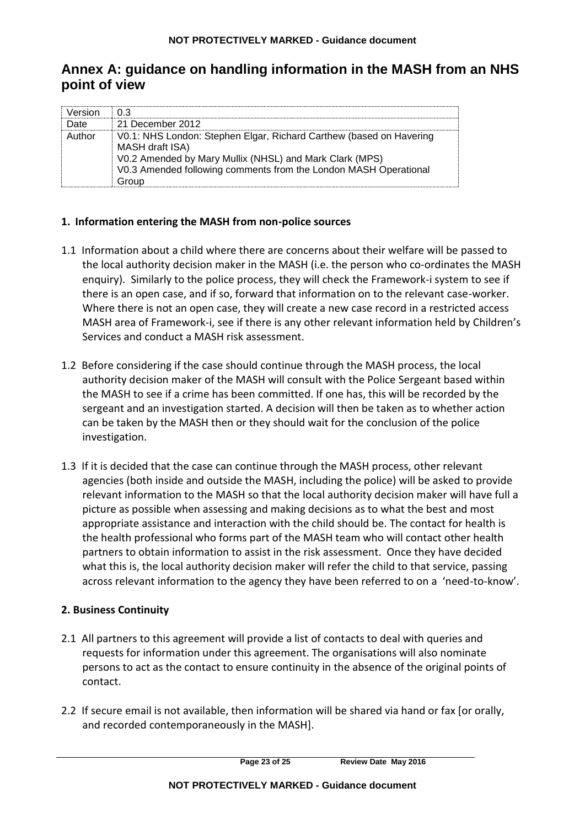# **Annex A: guidance on handling information in the MASH from an NHS point of view**

| ⊾rei∩r |                                                                                                                                                                                                                                |
|--------|--------------------------------------------------------------------------------------------------------------------------------------------------------------------------------------------------------------------------------|
|        | 21 December 2012                                                                                                                                                                                                               |
| ⊥ıth∩r | V0.1: NHS London: Stephen Elgar, Richard Carthew (based on Havering<br>MASH draft ISA)<br>V0.2 Amended by Mary Mullix (NHSL) and Mark Clark (MPS)<br>V0.3 Amended following comments from the London MASH Operational<br>Group |

### **1. Information entering the MASH from non-police sources**

- 1.1 Information about a child where there are concerns about their welfare will be passed to the local authority decision maker in the MASH (i.e. the person who co-ordinates the MASH enquiry). Similarly to the police process, they will check the Framework-i system to see if there is an open case, and if so, forward that information on to the relevant case-worker. Where there is not an open case, they will create a new case record in a restricted access MASH area of Framework-i, see if there is any other relevant information held by Children's Services and conduct a MASH risk assessment.
- 1.2 Before considering if the case should continue through the MASH process, the local authority decision maker of the MASH will consult with the Police Sergeant based within the MASH to see if a crime has been committed. If one has, this will be recorded by the sergeant and an investigation started. A decision will then be taken as to whether action can be taken by the MASH then or they should wait for the conclusion of the police investigation.
- 1.3 If it is decided that the case can continue through the MASH process, other relevant agencies (both inside and outside the MASH, including the police) will be asked to provide relevant information to the MASH so that the local authority decision maker will have full a picture as possible when assessing and making decisions as to what the best and most appropriate assistance and interaction with the child should be. The contact for health is the health professional who forms part of the MASH team who will contact other health partners to obtain information to assist in the risk assessment. Once they have decided what this is, the local authority decision maker will refer the child to that service, passing across relevant information to the agency they have been referred to on a 'need-to-know'.

### **2. Business Continuity**

- 2.1 All partners to this agreement will provide a list of contacts to deal with queries and requests for information under this agreement. The organisations will also nominate persons to act as the contact to ensure continuity in the absence of the original points of contact.
- 2.2 If secure email is not available, then information will be shared via hand or fax [or orally, and recorded contemporaneously in the MASH].

**Page 23 of 25 Review Date May 2016**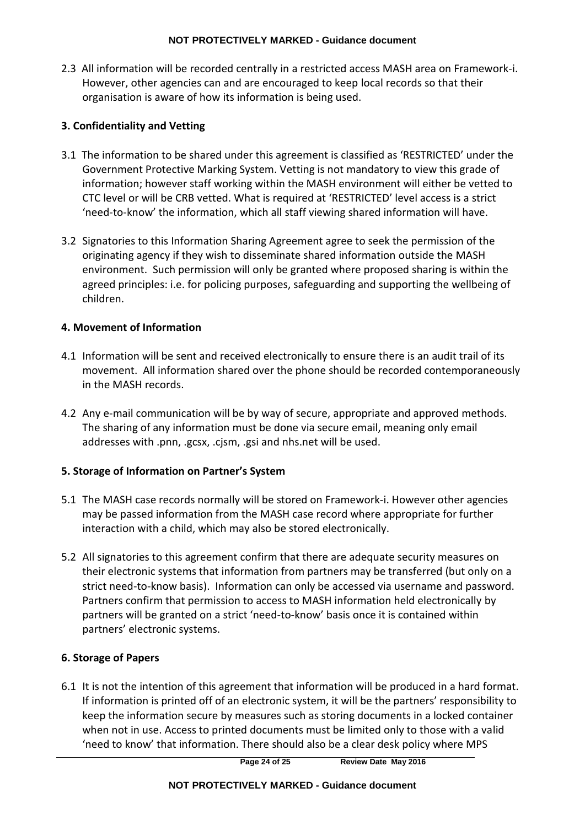2.3 All information will be recorded centrally in a restricted access MASH area on Framework-i. However, other agencies can and are encouraged to keep local records so that their organisation is aware of how its information is being used.

### **3. Confidentiality and Vetting**

- 3.1 The information to be shared under this agreement is classified as 'RESTRICTED' under the Government Protective Marking System. Vetting is not mandatory to view this grade of information; however staff working within the MASH environment will either be vetted to CTC level or will be CRB vetted. What is required at 'RESTRICTED' level access is a strict 'need-to-know' the information, which all staff viewing shared information will have.
- 3.2 Signatories to this Information Sharing Agreement agree to seek the permission of the originating agency if they wish to disseminate shared information outside the MASH environment. Such permission will only be granted where proposed sharing is within the agreed principles: i.e. for policing purposes, safeguarding and supporting the wellbeing of children.

### **4. Movement of Information**

- 4.1 Information will be sent and received electronically to ensure there is an audit trail of its movement. All information shared over the phone should be recorded contemporaneously in the MASH records.
- 4.2 Any e-mail communication will be by way of secure, appropriate and approved methods. The sharing of any information must be done via secure email, meaning only email addresses with .pnn, .gcsx, .cjsm, .gsi and nhs.net will be used.

### **5. Storage of Information on Partner's System**

- 5.1 The MASH case records normally will be stored on Framework-i. However other agencies may be passed information from the MASH case record where appropriate for further interaction with a child, which may also be stored electronically.
- 5.2 All signatories to this agreement confirm that there are adequate security measures on their electronic systems that information from partners may be transferred (but only on a strict need-to-know basis). Information can only be accessed via username and password. Partners confirm that permission to access to MASH information held electronically by partners will be granted on a strict 'need-to-know' basis once it is contained within partners' electronic systems.

### **6. Storage of Papers**

6.1 It is not the intention of this agreement that information will be produced in a hard format. If information is printed off of an electronic system, it will be the partners' responsibility to keep the information secure by measures such as storing documents in a locked container when not in use. Access to printed documents must be limited only to those with a valid 'need to know' that information. There should also be a clear desk policy where MPS

**Page 24 of 25 Review Date May 2016**